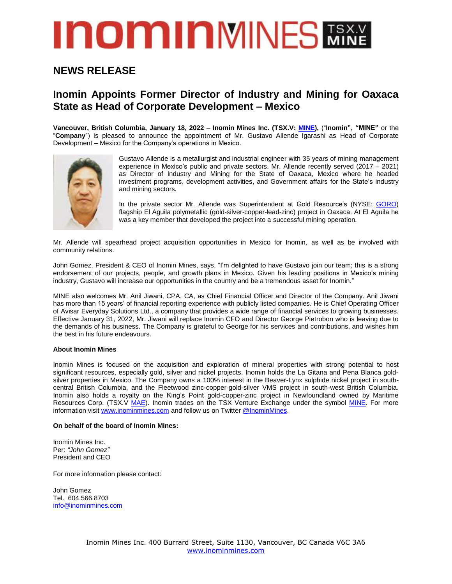# **INOMINANINES MAX**

### **NEWS RELEASE**

## **Inomin Appoints Former Director of Industry and Mining for Oaxaca State as Head of Corporate Development – Mexico**

**Vancouver, British Columbia, January 18, 2022** – **Inomin Mines Inc. (TSX.V: [MINE\)](https://inominmines.com/investors),** ("**Inomin", "MINE"** or the "**Company**") is pleased to announce the appointment of Mr. Gustavo Allende Igarashi as Head of Corporate Development – Mexico for the Company's operations in Mexico.



Gustavo Allende is a metallurgist and industrial engineer with 35 years of mining management experience in Mexico's public and private sectors. Mr. Allende recently served (2017 – 2021) as Director of Industry and Mining for the State of Oaxaca, Mexico where he headed investment programs, development activities, and Government affairs for the State's industry and mining sectors.

In the private sector Mr. Allende was Superintendent at Gold Resource's (NYSE: [GORO\)](https://www.google.com/finance/quote/GORO:NYSEAMERICAN) flagship El Aguila polymetallic (gold-silver-copper-lead-zinc) project in Oaxaca. At El Aguila he was a key member that developed the project into a successful mining operation.

Mr. Allende will spearhead project acquisition opportunities in Mexico for Inomin, as well as be involved with community relations.

John Gomez, President & CEO of Inomin Mines, says, "I'm delighted to have Gustavo join our team; this is a strong endorsement of our projects, people, and growth plans in Mexico. Given his leading positions in Mexico's mining industry, Gustavo will increase our opportunities in the country and be a tremendous asset for Inomin."

MINE also welcomes Mr. Anil Jiwani, CPA, CA, as Chief Financial Officer and Director of the Company. Anil Jiwani has more than 15 years' of financial reporting experience with publicly listed companies. He is Chief Operating Officer of Avisar Everyday Solutions Ltd., a company that provides a wide range of financial services to growing businesses. Effective January 31, 2022, Mr. Jiwani will replace Inomin CFO and Director George Pietrobon who is leaving due to the demands of his business. The Company is grateful to George for his services and contributions, and wishes him the best in his future endeavours.

#### **About Inomin Mines**

Inomin Mines is focused on the acquisition and exploration of mineral properties with strong potential to host significant resources, especially gold, silver and nickel projects. Inomin holds the La Gitana and Pena Blanca goldsilver properties in Mexico. The Company owns a 100% interest in the Beaver-Lynx sulphide nickel project in southcentral British Columbia, and the Fleetwood zinc-copper-gold-silver VMS project in south-west British Columbia. Inomin also holds a royalty on the King's Point gold-copper-zinc project in Newfoundland owned by Maritime Resources Corp. (TSX.V [MAE\)](https://www.google.com/finance/quote/MAE:CVE). Inomin trades on the TSX Venture Exchange under the symbol [MINE.](https://www.google.com/finance/quote/MINE:CVE) For more information visit [www.inominmines.com](http://www.inominmines.com/) and follow us on Twitte[r @InominMines.](https://twitter.com/InominMines)

#### **On behalf of the board of Inomin Mines:**

Inomin Mines Inc. Per: *"John Gomez"* President and CEO

For more information please contact:

John Gomez Tel. 604.566.8703 [info@inominmines.com](mailto:info@inominmines.com)